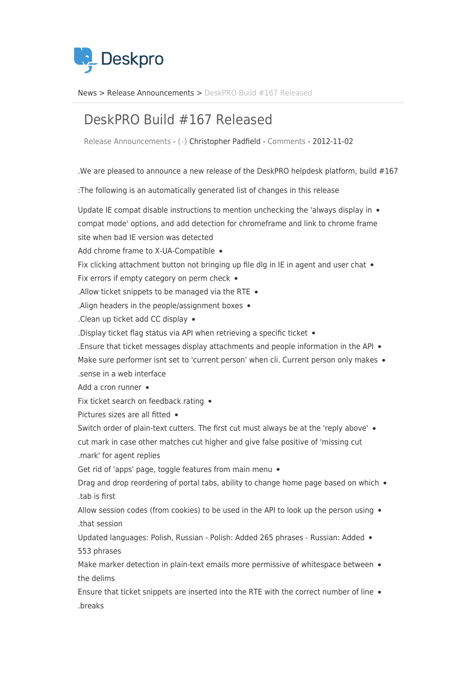

News> Release Announcements > DeskPRO Build #167 Released

## DeskPRO Build #167 Released

Release Announcements - ( · ) Christopher Padfield - [Comments](#page--1-0) - 2012-11-02

. We are pleased to announce a new release of the DeskPRO helpdesk platform, build  $#167$ 

: The following is an automatically generated list of changes in this release

Update IE compat disable instructions to mention unchecking the 'always display in  $\bullet$ compat mode' options, and add detection for chromeframe and link to chrome frame site when bad IE version was detected Add chrome frame to X-UA-Compatible . Fix clicking attachment button not bringing up file dlg in IE in agent and user chat  $\bullet$ Fix errors if empty category on perm check  $\bullet$ . Allow ticket snippets to be managed via the RTE  $\bullet$ . Align headers in the people/assignment boxes  $\bullet$ . Clean up ticket add CC display  $\bullet$ . Display ticket flag status via API when retrieving a specific ticket  $\bullet$ A Ensure that ticket messages display attachments and people information in the API  $\bullet$ Make sure performer isnt set to 'current person' when cli. Current person only makes . sense in a web interface Add a cron runner  $\bullet$ Fix ticket search on feedback rating  $\bullet$ Pictures sizes are all fitted • Switch order of plain-text cutters. The first cut must always be at the 'reply above' . cut mark in case other matches cut higher and give false positive of 'missing cut .mark' for agent replies Get rid of 'apps' page, toggle features from main menu  $\bullet$ Drag and drop reordering of portal tabs, ability to change home page based on which  $\bullet$ tab is first. Allow session codes (from cookies) to be used in the API to look up the person using  $\bullet$ that session. Updated languages: Polish, Russian - Polish: Added 265 phrases - Russian: Added . 553 phrases Make marker detection in plain-text emails more permissive of whitespace between  $\bullet$ the delims Ensure that ticket snippets are inserted into the RTE with the correct number of line  $\bullet$ 

breaks.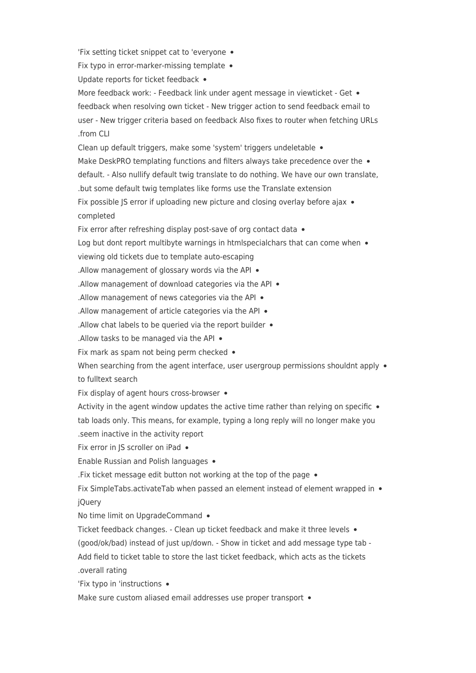'Fix setting ticket snippet cat to 'everyone .

Fix typo in error-marker-missing template  $\bullet$ 

Update reports for ticket feedback .

More feedback work: - Feedback link under agent message in viewticket - Get . feedback when resolving own ticket - New trigger action to send feedback email to user - New trigger criteria based on feedback Also fixes to router when fetching URLs .from CLI

Clean up default triggers, make some 'system' triggers undeletable • Make DeskPRO templating functions and filters always take precedence over the  $\bullet$ default. - Also nullify default twig translate to do nothing. We have our own translate, but some default twig templates like forms use the Translate extension. Fix possible JS error if uploading new picture and closing overlay before ajax  $\bullet$ 

completed

Fix error after refreshing display post-save of org contact data  $\bullet$ 

Log but dont report multibyte warnings in htmlspecialchars that can come when  $\bullet$ 

viewing old tickets due to template auto-escaping

. Allow management of glossary words via the API  $\bullet$ 

. Allow management of download categories via the API  $\bullet$ 

. Allow management of news categories via the API  $\bullet$ 

. Allow management of article categories via the API  $\bullet$ 

. Allow chat labels to be queried via the report builder  $\bullet$ 

. Allow tasks to be managed via the API  $\bullet$ 

Fix mark as spam not being perm checked  $\bullet$ 

When searching from the agent interface, user usergroup permissions shouldnt apply  $\bullet$ to fulltext search

Fix display of agent hours cross-browser  $\bullet$ 

Activity in the agent window updates the active time rather than relying on specific  $\bullet$ tab loads only. This means, for example, typing a long reply will no longer make you .seem inactive in the activity report

Fix error in JS scroller on iPad .

Enable Russian and Polish languages •

. Fix ticket message edit button not working at the top of the page  $\bullet$ 

Fix SimpleTabs.activateTab when passed an element instead of element wrapped in  $\bullet$ jQuery

No time limit on UpgradeCommand •

Ticket feedback changes. - Clean up ticket feedback and make it three levels  $\bullet$ 

(good/ok/bad) instead of just up/down. - Show in ticket and add message type tab -

Add field to ticket table to store the last ticket feedback, which acts as the tickets overall rating

'Fix typo in 'instructions •

Make sure custom aliased email addresses use proper transport .